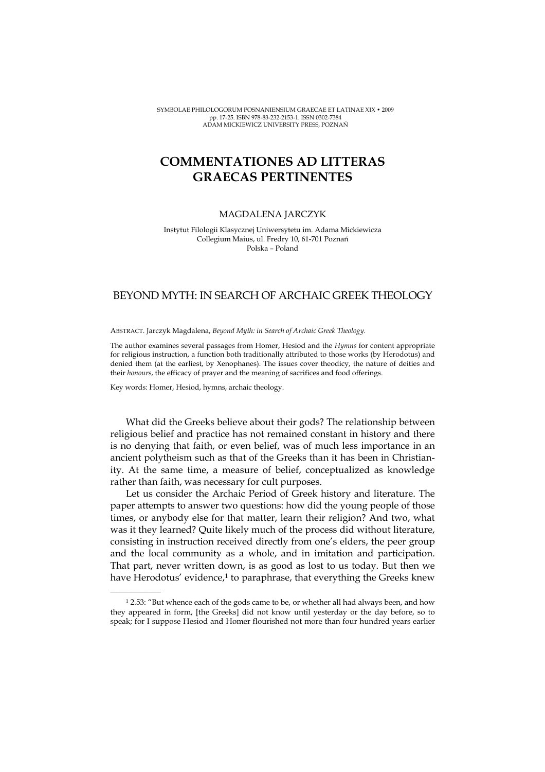SYMBOLAE PHILOLOGORUM POSNANIENSIUM GRAECAE ET LATINAE XIX • 2009 pp. 17-25. ISBN 978-83-232-2153-1. ISSN 0302-7384 ADAM MICKIEWICZ UNIVERSITY PRESS, POZNAŃ

## COMMENTATIONES AD LITTERAS GRAECAS PERTINENTES

## MAGDALENA JARCZYK

Instytut Filologii Klasycznej Uniwersytetu im. Adama Mickiewicza Collegium Maius, ul. Fredry 10, 61-701 Poznań Polska – Poland

## BEYOND MYTH: IN SEARCH OF ARCHAIC GREEK THEOLOGY

ABSTRACT. Jarczyk Magdalena, Beyond Myth: in Search of Archaic Greek Theology.

The author examines several passages from Homer, Hesiod and the Hymns for content appropriate for religious instruction, a function both traditionally attributed to those works (by Herodotus) and denied them (at the earliest, by Xenophanes). The issues cover theodicy, the nature of deities and their honours, the efficacy of prayer and the meaning of sacrifices and food offerings.

Key words: Homer, Hesiod, hymns, archaic theology.

 $\mathcal{L}=\mathcal{L}^{\mathcal{L}}$  , where  $\mathcal{L}^{\mathcal{L}}$ 

What did the Greeks believe about their gods? The relationship between religious belief and practice has not remained constant in history and there is no denying that faith, or even belief, was of much less importance in an ancient polytheism such as that of the Greeks than it has been in Christianity. At the same time, a measure of belief, conceptualized as knowledge rather than faith, was necessary for cult purposes.

Let us consider the Archaic Period of Greek history and literature. The paper attempts to answer two questions: how did the young people of those times, or anybody else for that matter, learn their religion? And two, what was it they learned? Quite likely much of the process did without literature, consisting in instruction received directly from one's elders, the peer group and the local community as a whole, and in imitation and participation. That part, never written down, is as good as lost to us today. But then we have Herodotus' evidence,<sup>1</sup> to paraphrase, that everything the Greeks knew

<sup>1</sup> 2.53: "But whence each of the gods came to be, or whether all had always been, and how they appeared in form, [the Greeks] did not know until yesterday or the day before, so to speak; for I suppose Hesiod and Homer flourished not more than four hundred years earlier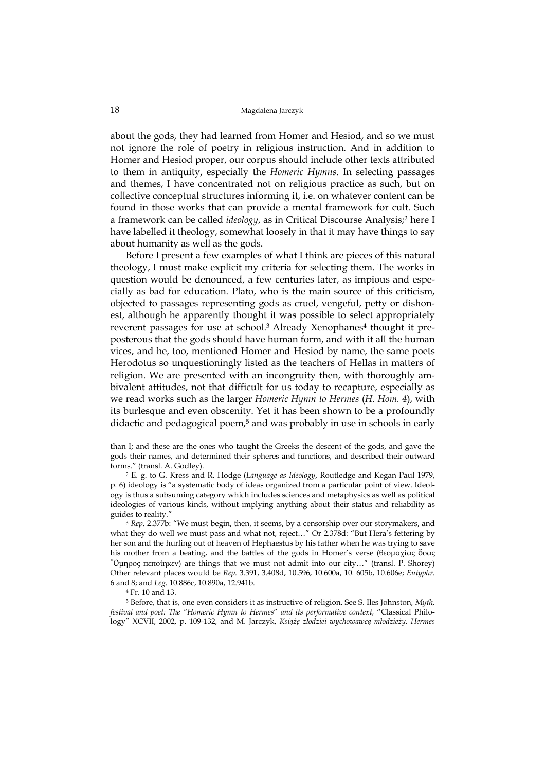## 18 Magdalena Jarczyk

about the gods, they had learned from Homer and Hesiod, and so we must not ignore the role of poetry in religious instruction. And in addition to Homer and Hesiod proper, our corpus should include other texts attributed to them in antiquity, especially the Homeric Hymns. In selecting passages and themes, I have concentrated not on religious practice as such, but on collective conceptual structures informing it, i.e. on whatever content can be found in those works that can provide a mental framework for cult. Such a framework can be called *ideology*, as in Critical Discourse Analysis;<sup>2</sup> here I have labelled it theology, somewhat loosely in that it may have things to say about humanity as well as the gods.

Before I present a few examples of what I think are pieces of this natural theology, I must make explicit my criteria for selecting them. The works in question would be denounced, a few centuries later, as impious and especially as bad for education. Plato, who is the main source of this criticism, objected to passages representing gods as cruel, vengeful, petty or dishonest, although he apparently thought it was possible to select appropriately reverent passages for use at school.<sup>3</sup> Already Xenophanes<sup>4</sup> thought it preposterous that the gods should have human form, and with it all the human vices, and he, too, mentioned Homer and Hesiod by name, the same poets Herodotus so unquestioningly listed as the teachers of Hellas in matters of religion. We are presented with an incongruity then, with thoroughly ambivalent attitudes, not that difficult for us today to recapture, especially as we read works such as the larger Homeric Hymn to Hermes (H. Hom. 4), with its burlesque and even obscenity. Yet it has been shown to be a profoundly didactic and pedagogical poem,<sup>5</sup> and was probably in use in schools in early

<sup>4</sup> Fr. 10 and 13.

 $\mathcal{L}=\mathcal{L}^{\mathcal{L}}$  , where  $\mathcal{L}^{\mathcal{L}}$ 

<sup>5</sup> Before, that is, one even considers it as instructive of religion. See S. Iles Johnston, Myth, festival and poet: The "Homeric Hymn to Hermes" and its performative context, "Classical Philology" XCVII, 2002, p. 109-132, and M. Jarczyk, Książę złodziei wychowawcą młodzieży. Hermes

than I; and these are the ones who taught the Greeks the descent of the gods, and gave the gods their names, and determined their spheres and functions, and described their outward forms." (transl. A. Godley).

<sup>2</sup> E. g. to G. Kress and R. Hodge (Language as Ideology, Routledge and Kegan Paul 1979, p. 6) ideology is "a systematic body of ideas organized from a particular point of view. Ideology is thus a subsuming category which includes sciences and metaphysics as well as political ideologies of various kinds, without implying anything about their status and reliability as guides to reality."

<sup>&</sup>lt;sup>3</sup> Rep. 2.377b: "We must begin, then, it seems, by a censorship over our storymakers, and what they do well we must pass and what not, reject…" Or 2.378d: "But Hera's fettering by her son and the hurling out of heaven of Hephaestus by his father when he was trying to save his mother from a beating, and the battles of the gods in Homer's verse (θεοµαχίας Óσας  $^{\circ}$ Ομηρος πεποίηκεν) are things that we must not admit into our city..." (transl. P. Shorey) Other relevant places would be Rep. 3.391, 3.408d, 10.596, 10.600a, 10. 605b, 10.606e; Eutyphr. 6 and 8; and Leg. 10.886c, 10.890a, 12.941b.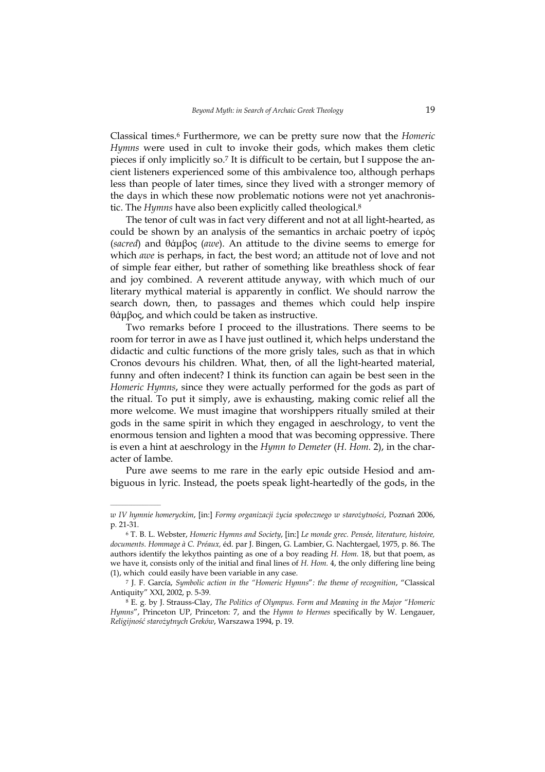Classical times.<sup>6</sup> Furthermore, we can be pretty sure now that the Homeric Hymns were used in cult to invoke their gods, which makes them cletic pieces if only implicitly so.7 It is difficult to be certain, but I suppose the ancient listeners experienced some of this ambivalence too, although perhaps less than people of later times, since they lived with a stronger memory of the days in which these now problematic notions were not yet anachronistic. The Hymns have also been explicitly called theological.<sup>8</sup>

The tenor of cult was in fact very different and not at all light-hearted, as could be shown by an analysis of the semantics in archaic poetry of *ξερός* (sacred) and θάµβος (awe). An attitude to the divine seems to emerge for which awe is perhaps, in fact, the best word; an attitude not of love and not of simple fear either, but rather of something like breathless shock of fear and joy combined. A reverent attitude anyway, with which much of our literary mythical material is apparently in conflict. We should narrow the search down, then, to passages and themes which could help inspire θάµβος, and which could be taken as instructive.

Two remarks before I proceed to the illustrations. There seems to be room for terror in awe as I have just outlined it, which helps understand the didactic and cultic functions of the more grisly tales, such as that in which Cronos devours his children. What, then, of all the light-hearted material, funny and often indecent? I think its function can again be best seen in the Homeric Hymns, since they were actually performed for the gods as part of the ritual. To put it simply, awe is exhausting, making comic relief all the more welcome. We must imagine that worshippers ritually smiled at their gods in the same spirit in which they engaged in aeschrology, to vent the enormous tension and lighten a mood that was becoming oppressive. There is even a hint at aeschrology in the Hymn to Demeter (H. Hom. 2), in the character of Iambe.

Pure awe seems to me rare in the early epic outside Hesiod and ambiguous in lyric. Instead, the poets speak light-heartedly of the gods, in the

 $\mathcal{L}=\mathcal{L}=\mathcal{L}=\mathcal{L}=\mathcal{L}=\mathcal{L}$ 

w IV hymnie homeryckim, [in:] Formy organizacji życia społecznego w starożytności, Poznań 2006, p. 21-31.

<sup>6</sup> T. B. L. Webster, Homeric Hymns and Society, [in:] Le monde grec. Pensée, literature, histoire, documents. Hommage à C. Préaux, éd. par J. Bingen, G. Lambier, G. Nachtergael, 1975, p. 86. The authors identify the lekythos painting as one of a boy reading H. Hom. 18, but that poem, as we have it, consists only of the initial and final lines of H. Hom. 4, the only differing line being (1), which could easily have been variable in any case.

<sup>7</sup> J. F. García, Symbolic action in the "Homeric Hymns": the theme of recognition, "Classical Antiquity" XXI, 2002, p. 5-39.

<sup>&</sup>lt;sup>8</sup> E. g. by J. Strauss-Clay, The Politics of Olympus. Form and Meaning in the Major "Homeric Hymns", Princeton UP, Princeton: 7, and the Hymn to Hermes specifically by W. Lengauer, Religijność starożytnych Greków, Warszawa 1994, p. 19.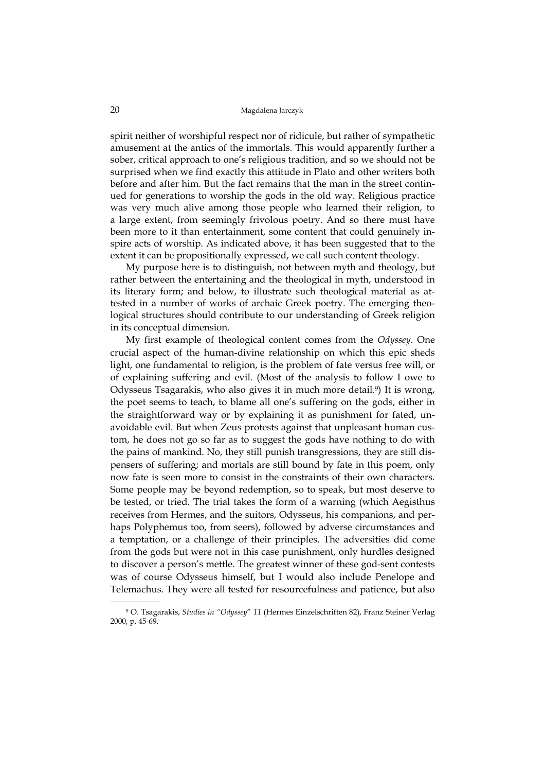spirit neither of worshipful respect nor of ridicule, but rather of sympathetic amusement at the antics of the immortals. This would apparently further a sober, critical approach to one's religious tradition, and so we should not be surprised when we find exactly this attitude in Plato and other writers both before and after him. But the fact remains that the man in the street continued for generations to worship the gods in the old way. Religious practice was very much alive among those people who learned their religion, to a large extent, from seemingly frivolous poetry. And so there must have been more to it than entertainment, some content that could genuinely inspire acts of worship. As indicated above, it has been suggested that to the extent it can be propositionally expressed, we call such content theology.

My purpose here is to distinguish, not between myth and theology, but rather between the entertaining and the theological in myth, understood in its literary form; and below, to illustrate such theological material as attested in a number of works of archaic Greek poetry. The emerging theological structures should contribute to our understanding of Greek religion in its conceptual dimension.

My first example of theological content comes from the Odyssey. One crucial aspect of the human-divine relationship on which this epic sheds light, one fundamental to religion, is the problem of fate versus free will, or of explaining suffering and evil. (Most of the analysis to follow I owe to Odysseus Tsagarakis, who also gives it in much more detail.<sup>9</sup>) It is wrong, the poet seems to teach, to blame all one's suffering on the gods, either in the straightforward way or by explaining it as punishment for fated, unavoidable evil. But when Zeus protests against that unpleasant human custom, he does not go so far as to suggest the gods have nothing to do with the pains of mankind. No, they still punish transgressions, they are still dispensers of suffering; and mortals are still bound by fate in this poem, only now fate is seen more to consist in the constraints of their own characters. Some people may be beyond redemption, so to speak, but most deserve to be tested, or tried. The trial takes the form of a warning (which Aegisthus receives from Hermes, and the suitors, Odysseus, his companions, and perhaps Polyphemus too, from seers), followed by adverse circumstances and a temptation, or a challenge of their principles. The adversities did come from the gods but were not in this case punishment, only hurdles designed to discover a person's mettle. The greatest winner of these god-sent contests was of course Odysseus himself, but I would also include Penelope and Telemachus. They were all tested for resourcefulness and patience, but also

<sup>9</sup> O. Tsagarakis, Studies in "Odyssey" 11 (Hermes Einzelschriften 82), Franz Steiner Verlag 2000, p. 45-69.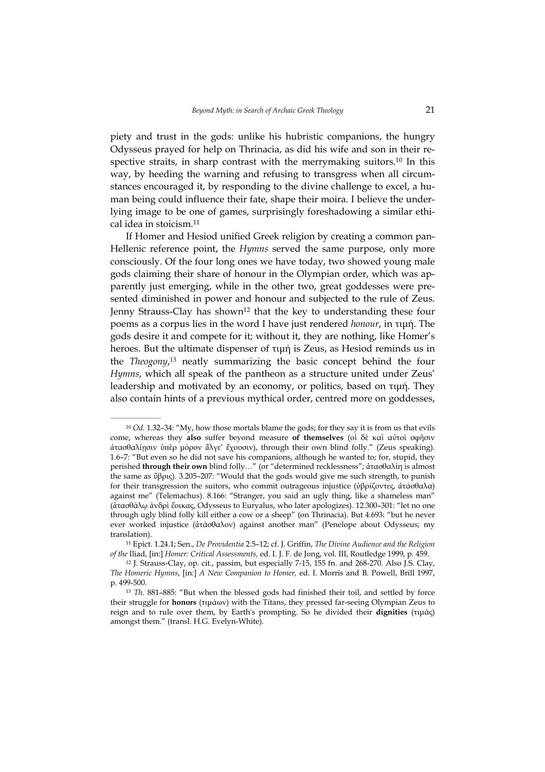piety and trust in the gods: unlike his hubristic companions, the hungry Odysseus prayed for help on Thrinacia, as did his wife and son in their respective straits, in sharp contrast with the merrymaking suitors.<sup>10</sup> In this way, by heeding the warning and refusing to transgress when all circumstances encouraged it, by responding to the divine challenge to excel, a human being could influence their fate, shape their moira. I believe the underlying image to be one of games, surprisingly foreshadowing a similar ethical idea in stoicism.<sup>11</sup>

If Homer and Hesiod unified Greek religion by creating a common pan-Hellenic reference point, the Hymns served the same purpose, only more consciously. Of the four long ones we have today, two showed young male gods claiming their share of honour in the Olympian order, which was apparently just emerging, while in the other two, great goddesses were presented diminished in power and honour and subjected to the rule of Zeus. Jenny Strauss-Clay has shown<sup>12</sup> that the key to understanding these four poems as a corpus lies in the word I have just rendered honour, in τιµή. The gods desire it and compete for it; without it, they are nothing, like Homer's heroes. But the ultimate dispenser of τιµή is Zeus, as Hesiod reminds us in the Theogony, <sup>13</sup> neatly summarizing the basic concept behind the four Hymns, which all speak of the pantheon as a structure united under Zeus' leadership and motivated by an economy, or politics, based on τιμή. They also contain hints of a previous mythical order, centred more on goddesses,

 $10$  Od. 1.32–34: "My, how those mortals blame the gods; for they say it is from us that evils come, whereas they also suffer beyond measure of themselves (οἱ δὲ καὶ αὐτοὶ σφῆσιν ἀτασθαλίῃσιν ὑ̟ὲρ µόρον ἄλγε' ἔχουσιν), through their own blind folly." (Zeus speaking). 1.6–7: "But even so he did not save his companions, although he wanted to; for, stupid, they perished through their own blind folly…" (or "determined recklessness"; ἀτασθαλίη is almost the same as ὕβρις). 3.205–207: "Would that the gods would give me such strength, to punish for their transgression the suitors, who commit outrageous injustice (ὑβρίζοντες, ἀτάσθαλα) against me" (Telemachus). 8.166: "Stranger, you said an ugly thing, like a shameless man" (ἀτασθάλῳ ἀνδρὶ ἔοικας, Odysseus to Euryalus, who later apologizes). 12.300–301: "let no one through ugly blind folly kill either a cow or a sheep" (on Thrinacia). But 4.693: "but he never ever worked injustice (ἀτάσθαλον) against another man" (Penelope about Odysseus; my translation).

<sup>11</sup> Epict. 1.24.1; Sen., De Providentia 2.5–12; cf. J. Griffin, The Divine Audience and the Religion of the Iliad, [in:] Homer: Critical Assessments, ed. I. J. F. de Jong, vol. III, Routledge 1999, p. 459.

<sup>12</sup> J. Strauss-Clay, op. cit., passim, but especially 7-15, 155 fn. and 268-270. Also J.S. Clay, The Homeric Hymns, [in:] A New Companion to Homer, ed. I. Morris and B. Powell, Brill 1997, p. 499-500.

<sup>&</sup>lt;sup>13</sup> Th. 881-885: "But when the blessed gods had finished their toil, and settled by force their struggle for **honors** (τιμάων) with the Titans, they pressed far-seeing Olympian Zeus to reign and to rule over them, by Earth's prompting. So he divided their dignities (τιµάς) amongst them." (transl. H.G. Evelyn-White).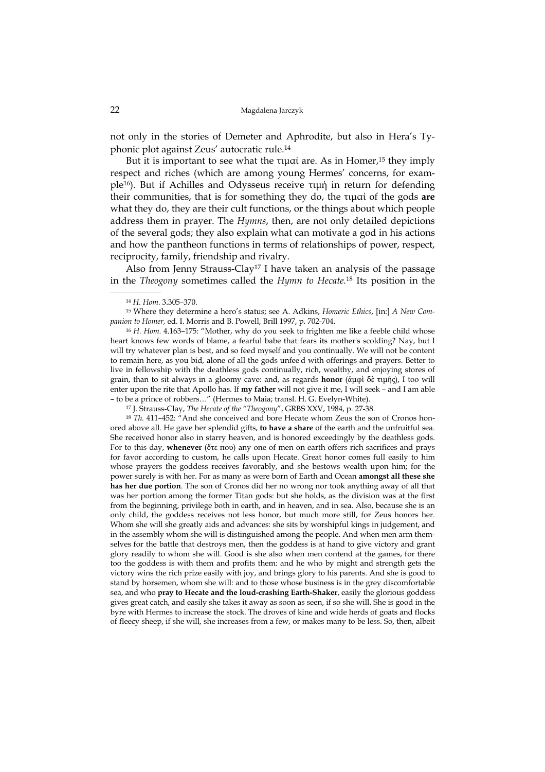not only in the stories of Demeter and Aphrodite, but also in Hera's Typhonic plot against Zeus' autocratic rule.<sup>14</sup>

But it is important to see what the τιμαί are. As in Homer,<sup>15</sup> they imply respect and riches (which are among young Hermes' concerns, for example<sup>16</sup>). But if Achilles and Odysseus receive τιµή in return for defending their communities, that is for something they do, the τιµαί of the gods are what they do, they are their cult functions, or the things about which people address them in prayer. The Hymns, then, are not only detailed depictions of the several gods; they also explain what can motivate a god in his actions and how the pantheon functions in terms of relationships of power, respect, reciprocity, family, friendship and rivalry.

Also from Jenny Strauss-Clay<sup>17</sup> I have taken an analysis of the passage in the Theogony sometimes called the Hymn to Hecate.<sup>18</sup> Its position in the

 $\mathcal{L}=\mathcal{L}^{\mathcal{L}}$  , where  $\mathcal{L}^{\mathcal{L}}$ 

15 Where they determine a hero's status; see A. Adkins, Homeric Ethics, [in:] A New Companion to Homer, ed. I. Morris and B. Powell, Brill 1997, p. 702-704.

<sup>16</sup> H. Hom. 4.163-175: "Mother, why do you seek to frighten me like a feeble child whose heart knows few words of blame, a fearful babe that fears its mother's scolding? Nay, but I will try whatever plan is best, and so feed myself and you continually. We will not be content to remain here, as you bid, alone of all the gods unfee'd with offerings and prayers. Better to live in fellowship with the deathless gods continually, rich, wealthy, and enjoying stores of grain, than to sit always in a gloomy cave: and, as regards **honor** (ἀμφὶ δὲ τιμῆς), I too will enter upon the rite that Apollo has. If my father will not give it me, I will seek – and I am able – to be a prince of robbers…" (Hermes to Maia; transl. H. G. Evelyn-White).

<sup>17</sup> J. Strauss-Clay, The Hecate of the "Theogony", GRBS XXV, 1984, p. 27-38.

<sup>18</sup> Th. 411–452: "And she conceived and bore Hecate whom Zeus the son of Cronos honored above all. He gave her splendid gifts, to have a share of the earth and the unfruitful sea. She received honor also in starry heaven, and is honored exceedingly by the deathless gods. For to this day, whenever (ὅτε που) any one of men on earth offers rich sacrifices and prays for favor according to custom, he calls upon Hecate. Great honor comes full easily to him whose prayers the goddess receives favorably, and she bestows wealth upon him; for the power surely is with her. For as many as were born of Earth and Ocean amongst all these she has her due portion. The son of Cronos did her no wrong nor took anything away of all that was her portion among the former Titan gods: but she holds, as the division was at the first from the beginning, privilege both in earth, and in heaven, and in sea. Also, because she is an only child, the goddess receives not less honor, but much more still, for Zeus honors her. Whom she will she greatly aids and advances: she sits by worshipful kings in judgement, and in the assembly whom she will is distinguished among the people. And when men arm themselves for the battle that destroys men, then the goddess is at hand to give victory and grant glory readily to whom she will. Good is she also when men contend at the games, for there too the goddess is with them and profits them: and he who by might and strength gets the victory wins the rich prize easily with joy, and brings glory to his parents. And she is good to stand by horsemen, whom she will: and to those whose business is in the grey discomfortable sea, and who pray to Hecate and the loud-crashing Earth-Shaker, easily the glorious goddess gives great catch, and easily she takes it away as soon as seen, if so she will. She is good in the byre with Hermes to increase the stock. The droves of kine and wide herds of goats and flocks of fleecy sheep, if she will, she increases from a few, or makes many to be less. So, then, albeit

<sup>14</sup> H. Hom. 3.305–370.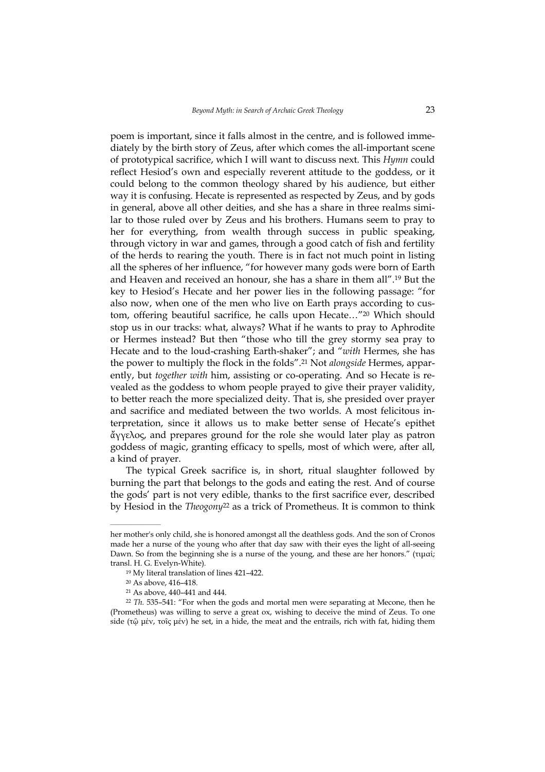poem is important, since it falls almost in the centre, and is followed immediately by the birth story of Zeus, after which comes the all-important scene of prototypical sacrifice, which I will want to discuss next. This Hymn could reflect Hesiod's own and especially reverent attitude to the goddess, or it could belong to the common theology shared by his audience, but either way it is confusing. Hecate is represented as respected by Zeus, and by gods in general, above all other deities, and she has a share in three realms similar to those ruled over by Zeus and his brothers. Humans seem to pray to her for everything, from wealth through success in public speaking, through victory in war and games, through a good catch of fish and fertility of the herds to rearing the youth. There is in fact not much point in listing all the spheres of her influence, "for however many gods were born of Earth and Heaven and received an honour, she has a share in them all".<sup>19</sup> But the key to Hesiod's Hecate and her power lies in the following passage: "for also now, when one of the men who live on Earth prays according to custom, offering beautiful sacrifice, he calls upon Hecate…"<sup>20</sup> Which should stop us in our tracks: what, always? What if he wants to pray to Aphrodite or Hermes instead? But then "those who till the grey stormy sea pray to Hecate and to the loud-crashing Earth-shaker"; and "with Hermes, she has the power to multiply the flock in the folds".<sup>21</sup> Not *alongside* Hermes, apparently, but together with him, assisting or co-operating. And so Hecate is revealed as the goddess to whom people prayed to give their prayer validity, to better reach the more specialized deity. That is, she presided over prayer and sacrifice and mediated between the two worlds. A most felicitous interpretation, since it allows us to make better sense of Hecate's epithet ἄγγελος, and prepares ground for the role she would later play as patron goddess of magic, granting efficacy to spells, most of which were, after all, a kind of prayer.

The typical Greek sacrifice is, in short, ritual slaughter followed by burning the part that belongs to the gods and eating the rest. And of course the gods' part is not very edible, thanks to the first sacrifice ever, described by Hesiod in the *Theogony*<sup>22</sup> as a trick of Prometheus. It is common to think

her mother's only child, she is honored amongst all the deathless gods. And the son of Cronos made her a nurse of the young who after that day saw with their eyes the light of all-seeing Dawn. So from the beginning she is a nurse of the young, and these are her honors." (τιµαί; transl. H. G. Evelyn-White).

<sup>19</sup> My literal translation of lines 421–422.

<sup>20</sup> As above, 416–418.

<sup>21</sup> As above, 440–441 and 444.

 $22$  Th. 535–541: "For when the gods and mortal men were separating at Mecone, then he (Prometheus) was willing to serve a great ox, wishing to deceive the mind of Zeus. To one side (τῷ μέν, τοῖς μέν) he set, in a hide, the meat and the entrails, rich with fat, hiding them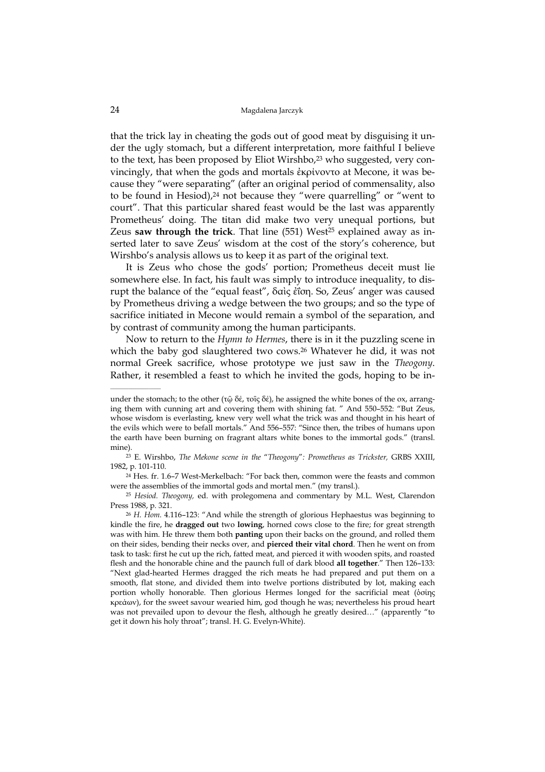that the trick lay in cheating the gods out of good meat by disguising it under the ugly stomach, but a different interpretation, more faithful I believe to the text, has been proposed by Eliot Wirshbo,<sup>23</sup> who suggested, very convincingly, that when the gods and mortals ἐκρίνοντο at Mecone, it was because they "were separating" (after an original period of commensality, also to be found in Hesiod),<sup>24</sup> not because they "were quarrelling" or "went to court". That this particular shared feast would be the last was apparently Prometheus' doing. The titan did make two very unequal portions, but Zeus saw through the trick. That line (551) West<sup>25</sup> explained away as inserted later to save Zeus' wisdom at the cost of the story's coherence, but Wirshbo's analysis allows us to keep it as part of the original text.

It is Zeus who chose the gods' portion; Prometheus deceit must lie somewhere else. In fact, his fault was simply to introduce inequality, to disrupt the balance of the "equal feast", δαὶς ἐΐση. So, Zeus' anger was caused by Prometheus driving a wedge between the two groups; and so the type of sacrifice initiated in Mecone would remain a symbol of the separation, and by contrast of community among the human participants.

Now to return to the Hymn to Hermes, there is in it the puzzling scene in which the baby god slaughtered two cows.<sup>26</sup> Whatever he did, it was not normal Greek sacrifice, whose prototype we just saw in the Theogony. Rather, it resembled a feast to which he invited the gods, hoping to be in-

under the stomach; to the other (τῶ δέ, τοῖς δέ), he assigned the white bones of the ox, arranging them with cunning art and covering them with shining fat. " And 550–552: "But Zeus, whose wisdom is everlasting, knew very well what the trick was and thought in his heart of the evils which were to befall mortals." And 556–557: "Since then, the tribes of humans upon the earth have been burning on fragrant altars white bones to the immortal gods." (transl. mine).

<sup>&</sup>lt;sup>23</sup> E. Wirshbo, The Mekone scene in the "Theogony": Prometheus as Trickster, GRBS XXIII, 1982, p. 101-110.

<sup>24</sup> Hes. fr. 1.6–7 West-Merkelbach: "For back then, common were the feasts and common were the assemblies of the immortal gods and mortal men." (my transl.).

<sup>25</sup> Hesiod. Theogony, ed. with prolegomena and commentary by M.L. West, Clarendon Press 1988, p. 321.

<sup>26</sup> H. Hom. 4.116–123: "And while the strength of glorious Hephaestus was beginning to kindle the fire, he dragged out two lowing, horned cows close to the fire; for great strength was with him. He threw them both **panting** upon their backs on the ground, and rolled them on their sides, bending their necks over, and pierced their vital chord. Then he went on from task to task: first he cut up the rich, fatted meat, and pierced it with wooden spits, and roasted flesh and the honorable chine and the paunch full of dark blood all together." Then 126–133: "Next glad-hearted Hermes dragged the rich meats he had prepared and put them on a smooth, flat stone, and divided them into twelve portions distributed by lot, making each portion wholly honorable. Then glorious Hermes longed for the sacrificial meat (ὁσίης κρεάων), for the sweet savour wearied him, god though he was; nevertheless his proud heart was not prevailed upon to devour the flesh, although he greatly desired…" (apparently "to get it down his holy throat"; transl. H. G. Evelyn-White).